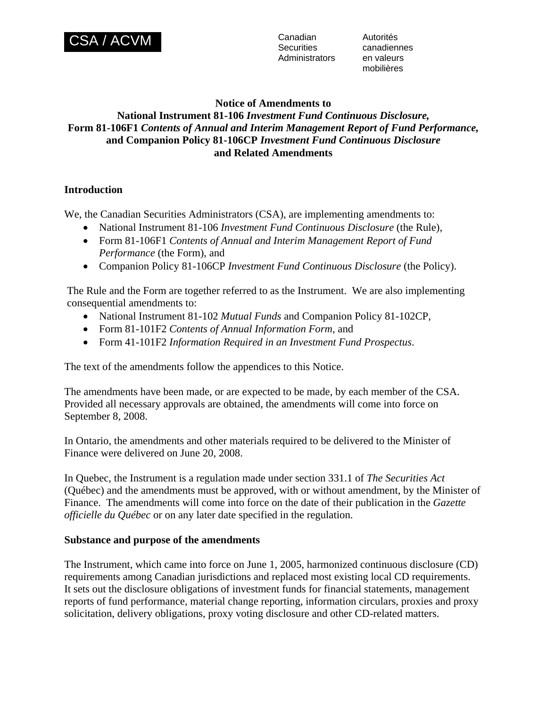

**Securities** Administrators en valeurs

Autorités canadiennes mobilières

### **Notice of Amendments to**

# **National Instrument 81-106** *Investment Fund Continuous Disclosure,* **Form 81-106F1** *Contents of Annual and Interim Management Report of Fund Performance,*  **and Companion Policy 81-106CP** *Investment Fund Continuous Disclosure* **and Related Amendments**

## **Introduction**

We, the Canadian Securities Administrators (CSA), are implementing amendments to:

- National Instrument 81-106 *Investment Fund Continuous Disclosure* (the Rule),
- Form 81-106F1 *Contents of Annual and Interim Management Report of Fund Performance* (the Form), and
- Companion Policy 81-106CP *Investment Fund Continuous Disclosure* (the Policy).

The Rule and the Form are together referred to as the Instrument. We are also implementing consequential amendments to:

- National Instrument 81-102 *Mutual Funds* and Companion Policy 81-102CP,
- Form 81-101F2 *Contents of Annual Information Form*, and
- Form 41-101F2 *Information Required in an Investment Fund Prospectus*.

The text of the amendments follow the appendices to this Notice.

The amendments have been made, or are expected to be made, by each member of the CSA. Provided all necessary approvals are obtained, the amendments will come into force on September 8, 2008.

In Ontario, the amendments and other materials required to be delivered to the Minister of Finance were delivered on June 20, 2008.

In Quebec, the Instrument is a regulation made under section 331.1 of *The Securities Act* (Québec) and the amendments must be approved, with or without amendment, by the Minister of Finance. The amendments will come into force on the date of their publication in the *Gazette officielle du Québec* or on any later date specified in the regulation.

#### **Substance and purpose of the amendments**

The Instrument, which came into force on June 1, 2005, harmonized continuous disclosure (CD) requirements among Canadian jurisdictions and replaced most existing local CD requirements. It sets out the disclosure obligations of investment funds for financial statements, management reports of fund performance, material change reporting, information circulars, proxies and proxy solicitation, delivery obligations, proxy voting disclosure and other CD-related matters.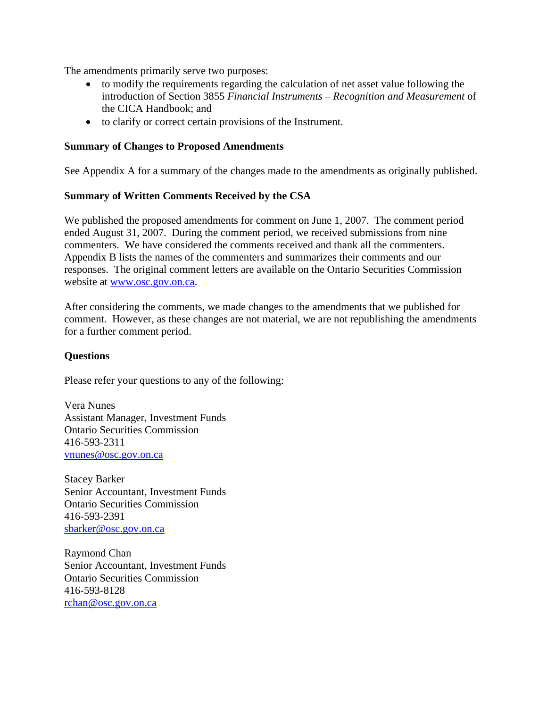The amendments primarily serve two purposes:

- to modify the requirements regarding the calculation of net asset value following the introduction of Section 3855 *Financial Instruments – Recognition and Measurement* of the CICA Handbook; and
- to clarify or correct certain provisions of the Instrument.

#### **Summary of Changes to Proposed Amendments**

See Appendix A for a summary of the changes made to the amendments as originally published.

#### **Summary of Written Comments Received by the CSA**

We published the proposed amendments for comment on June 1, 2007. The comment period ended August 31, 2007. During the comment period, we received submissions from nine commenters. We have considered the comments received and thank all the commenters. Appendix B lists the names of the commenters and summarizes their comments and our responses. The original comment letters are available on the Ontario Securities Commission website at [www.osc.gov.on.ca.](http://www.osc.gov.on.ca/)

After considering the comments, we made changes to the amendments that we published for comment. However, as these changes are not material, we are not republishing the amendments for a further comment period.

#### **Questions**

Please refer your questions to any of the following:

Vera Nunes Assistant Manager, Investment Funds Ontario Securities Commission 416-593-2311 [vnunes@osc.gov.on.ca](mailto:Vnunes@osc.gov.on.ca)

Stacey Barker Senior Accountant, Investment Funds Ontario Securities Commission 416-593-2391 sbarker@osc.gov.on.ca

Raymond Chan Senior Accountant, Investment Funds Ontario Securities Commission 416-593-8128 rchan@osc.gov.on.ca